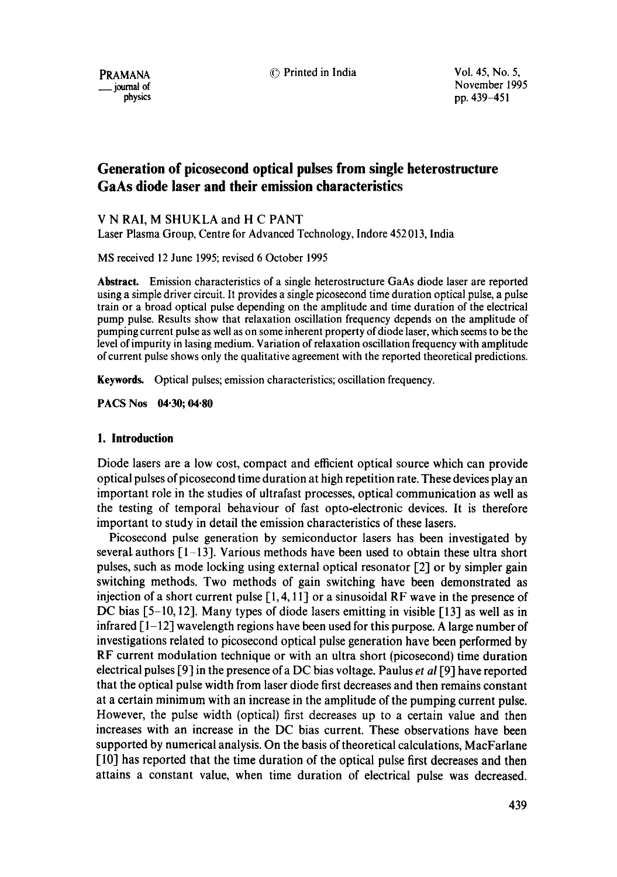PRAMANA 
<sup>©</sup> Printed in India 
<sup>Vol. 45, No. 5,</sup>

\_\_ journal of November 1995 physics pp. 439-451

## **Generation of picosecond optical pulses from single heterostructure GaAs diode laser and their emission characteristics**

V N RAI, M SHUKLA and H C PANT

Laser Plasma Group, Centre for Advanced Technology, Indore 452013, India

MS received 12 June 1995; revised 6 October 1995

**Abstract.** Emission characteristics of a single heterostructure GaAs diode laser are reported using a simple driver circuit. It provides a single picosecond time duration optical pulse, a pulse train or a broad optical pulse depending on the amplitude and time duration of the electrical pump pulse. Results show that relaxation oscillation frequency depends on the amplitude of pumping current pulse as well as on some inherent property of diode laser, which seems to be the level of impurity in lasing medium. Variation of relaxation oscillation frequency with amplitude of current pulse shows only the qualitative agreement with the reported theoretical predictions.

**Keywords.** Optical pulses; emission characteristics; oscillation frequency.

**PACS Nos 04.30; 04.80** 

### **1. Introduction**

Diode lasers are a low cost, compact and efficient optical source which can provide optical pulses of picosecond time duration at high repetition rate. These devices play a n important role in the studies of ultrafast processes, optical communication as well as the testing of temporal behaviour of fast opto-electronic devices. It is therefore important to study in detail the emission characteristics of these lasers.

Picosecond pulse generation by semiconductor lasers has been investigated by several authors  $\lceil 1-13 \rceil$ . Various methods have been used to obtain these ultra short pulses, such as mode locking using external optical resonator [2] or by simpler gain switching methods. Two methods of gain switching have been demonstrated as injection of a short current pulse  $[1, 4, 11]$  or a sinusoidal RF wave in the presence of DC bias  $[5-10, 12]$ . Many types of diode lasers emitting in visible  $[13]$  as well as in infrared  $\lceil 1-12 \rceil$  wavelength regions have been used for this purpose. A large number of investigations related to picosecond optical pulse generation have been performed by RF current modulation technique or with an ultra short (picosecond) time duration electrical pulses [9] in the presence of a DC bias voltage. Paulus *et al* [9] have reported that the optical pulse width from laser diode first decreases and then remains constant at a certain minimum with an increase in the amplitude of the pumping current pulse. However, the pulse width (optical) first decreases up to a certain value and then increases with an increase in the DC bias current. These observations have been supported by numerical analysis. On the basis of theoretical calculations, MacFarlane [10] has reported that the time duration of the optical pulse first decreases and then attains a constant value, when time duration of electrical pulse was decreased.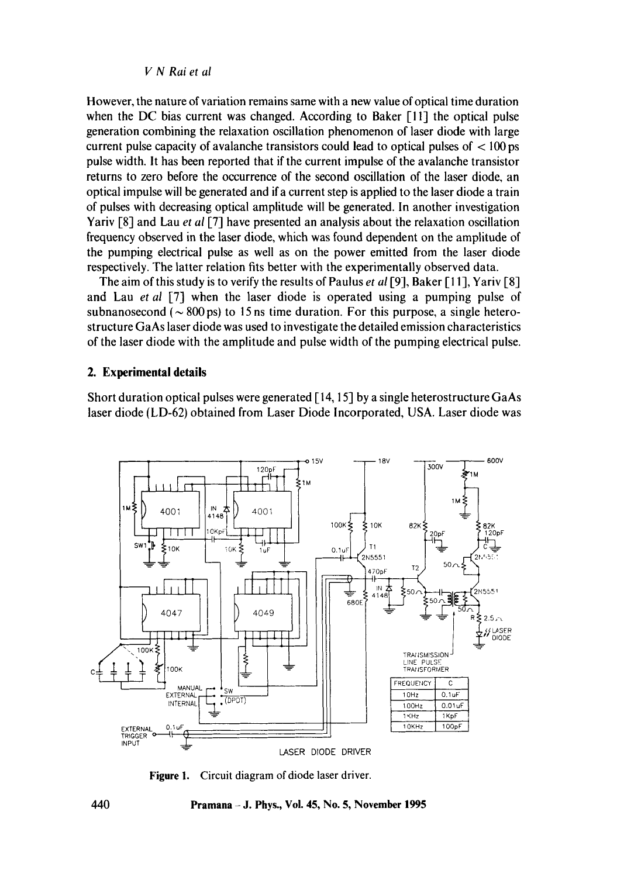**However, the nature of variation remains same with a new value of optical time duration when the DC bias current was changed. According to Baker [11] the optical pulse generation combining the relaxation oscillation phenomenon of laser diode with large current pulse capacity of avalanche transistors could lead to optical pulses of < 100 ps pulse width. It has been reported that if the current impulse of the avalanche transistor returns to zero before the occurrence of the second oscillation of the laser diode, an optical impulse will be generated and ira current step is applied to the laser diode a train of pulses with decreasing optical amplitude will be generated. In another investigation Yariv [8] and Lau** *et al* **[7] have presented an analysis about the relaxation oscillation frequency observed in the laser diode, which was found dependent on the amplitude of the pumping electrical pulse as well as on the power emitted from the laser diode respectively. The latter relation fits better with the experimentally observed data.** 

**The aim of this study is to verify the results of Paulus** *et al* **[9], Baker [11], Yariv [8] and Lau** *et al* **[7] when the laser diode is operated using a pumping pulse of**  subnanosecond ( $\sim$  800 ps) to 15 ns time duration. For this purpose, a single hetero**structure GaAs laser diode was used to investigate the detailed emission characteristics of the laser diode with the amplitude and pulse width of the pumping electrical pulse.** 

### **2. Experimental details**

**Short duration optical pulses were generated [14, 15] by a single heterostructure GaAs laser diode (LD-62) obtained from Laser Diode Incorporated, USA. Laser diode was** 



**Figure 1. Circuit diagram of diode laser driver.**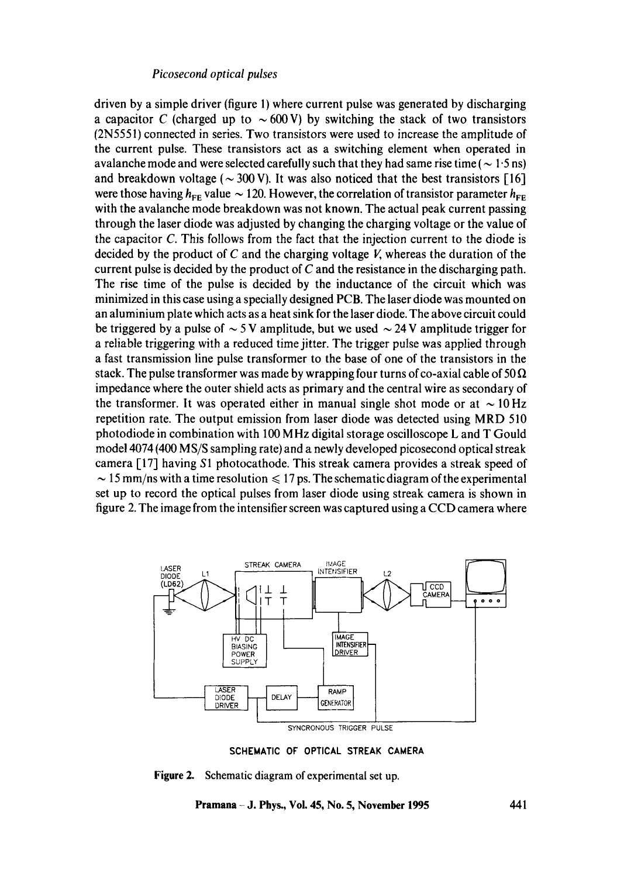driven by a simple driver (figure 1) where current pulse was generated by discharging a capacitor C (charged up to  $\sim$  600 V) by switching the stack of two transistors (2N5551) connected in series. Two transistors were used to increase the amplitude of the current pulse. These transistors act as a switching element when operated in avalanche mode and were selected carefully such that they had same rise time ( $\sim 1.5$  ns) and breakdown voltage ( $\sim$  300 V). It was also noticed that the best transistors [16] were those having  $h_{EF}$  value  $\sim$  120. However, the correlation of transistor parameter  $h_{EF}$ with the avalanche mode breakdown was not known. The actual peak current passing through the laser diode was adjusted by changing the charging voltage or the value of the capacitor C. This follows from the fact that the injection current to the diode is decided by the product of C and the charging voltage V, whereas the duration of the current pulse is decided by the product of  $C$  and the resistance in the discharging path. The rise time of the pulse is decided by the inductance of the circuit which was minimized in this case using a specially designed PCB. The laser diode was mounted on an aluminium plate which acts as a heat sink for the laser diode. The above circuit could be triggered by a pulse of  $\sim$  5 V amplitude, but we used  $\sim$  24 V amplitude trigger for a reliable triggering with a reduced time jitter. The trigger pulse was applied through a fast transmission line pulse transformer to the base of one of the transistors in the stack. The pulse transformer was made by wrapping four turns of co-axial cable of 50  $\Omega$ impedance where the outer shield acts as primary and the central wire as secondary of the transformer. It was operated either in manual single shot mode or at  $\sim$  10 Hz repetition rate. The output emission from laser diode was detected using MRD 510 photodiode in combination with 100 MHz digital storage oscilloscope L and T Gould model 4074 (400 MS/S sampling rate) and a newly developed picosecond optical streak camera [17] having S1 photocathode. This streak camera provides a streak speed of  $\sim$  15 mm/ns with a time resolution  $\leq$  17 ps. The schematic diagram of the experimental set up to record the optical pulses from laser diode using streak camera is shown in figure 2. The image from the intensifier screen was captured using a CCD camera where



SCHEMATIC OF OPTICAL STREAK CAMERA

**Figure** 2. Schematic diagram of experimental set up.

**Pramana - J. Phys., Vol. 45, No. 5, November 1995 441**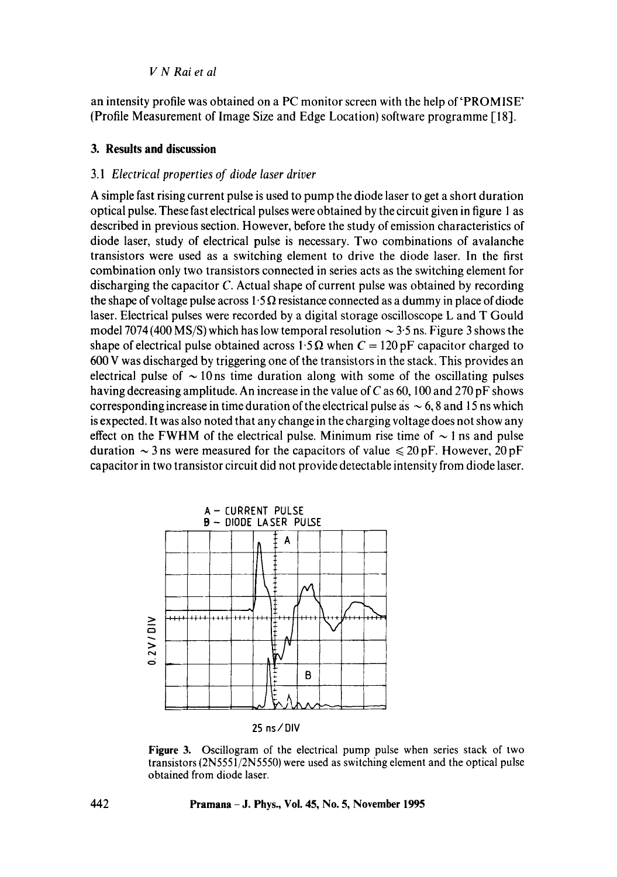an intensity profile was obtained on a PC monitor screen with the help of'PROMISE' (Profile Measurement of Image Size and Edge Location) software programme [I 8].

## **3. Results and discussion**

## *3.1 Electrical properties of diode laser driver*

A simple fast rising current pulse is used to pump the diode laser to get a short duration optical pulse. These fast electrical pulses were obtained by the circuit given in figure I as described in previous section. However, before the study of emission characteristics of diode laser, study of electrical pulse is necessary. Two combinations of avalanche transistors were used as a switching element to drive the diode laser. In the first combination only two transistors connected in series acts as the switching element for discharging the capacitor  $C$ . Actual shape of current pulse was obtained by recording the shape of voltage pulse across  $1.5 \Omega$  resistance connected as a dummy in place of diode laser. Electrical pulses were recorded by a digital storage oscilloscope L and T Gould model 7074 (400 MS/S) which has low temporal resolution  $\sim$  3.5 ns. Figure 3 shows the shape of electrical pulse obtained across 1.5  $\Omega$  when  $C = 120 \text{ pF}$  capacitor charged to 600 V was discharged by triggering one of the transistors in the stack. This provides an electrical pulse of  $\sim$  10 ns time duration along with some of the oscillating pulses having decreasing amplitude. An increase in the value of C as  $60$ , 100 and 270 pF shows corresponding increase in time duration of the electrical pulse as  $\sim 6$ , 8 and 15 ns which is expected. It was also noted that any change in the charging voltage does not show any effect on the FWHM of the electrical pulse. Minimum rise time of  $\sim$  1 ns and pulse duration  $\sim$  3 ns were measured for the capacitors of value  $\leq$  20 pF. However, 20 pF capacitor in two transistor circuit did not provide detectable intensity from diode laser.



25 ns/DIV

Figure 3. Oscillogram of the electrical pump pulse when series stack of two transistors (2N5551/2N5550) were used as switching element and the optical pulse obtained from diode laser.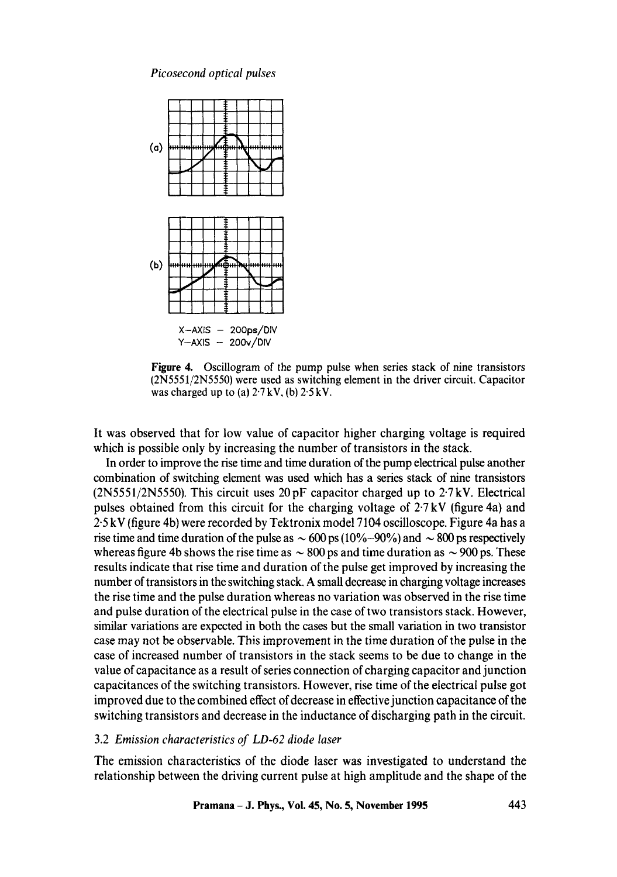

**Figure** 4. Oscillogram of the pump pulse when series stack of nine transistors (2N5551/2N5550) were used as switching element in the driver circuit. Capacitor was charged up to (a)  $2.7 \, \text{kV}$ , (b)  $2.5 \, \text{kV}$ .

It was observed that for low value of capacitor higher charging voltage is required which is possible only by increasing the number of transistors in the stack.

In order to improve the rise time and time duration of the pump electrical pulse another combination of switching element was used which has a series stack of nine transistors  $(2N5551/2N5550)$ . This circuit uses 20 pF capacitor charged up to  $2.7 \text{ kV}$ . Electrical pulses obtained from this circuit for the charging voltage of 2.7 kV (figure 4a) and 2-5 kV (figure 4b) were recorded by Tektronix model 7104 oscilloscope. Figure 4a has a rise time and time duration of the pulse as  $\sim 600$  ps (10%-90%) and  $\sim 800$  ps respectively whereas figure 4b shows the rise time as  $\sim$  800 ps and time duration as  $\sim$  900 ps. These results indicate that rise time and duration of the pulse get improved by increasing the number of transistors in the switching stack. A small decrease in charging voltage increases the rise time and the pulse duration whereas no variation was observed in the rise time and pulse duration of the electrical pulse in the case of two transistors stack. However, similar variations are expected in both the cases but the small variation in two transistor case may not be observable. This improvement in the time duration of the pulse in the case of increased number of transistors in the stack seems to be due to change in the value of capacitance as a result of series connection of charging capacitor and junction capacitances of the switching transistors. However, rise time of the electrical pulse got improved due to the combined effect of decrease in effective junction capacitance of the switching transistors and decrease in the inductance of discharging path in the circuit.

### 3.2 *Emission characteristics of LD-62 diode laser*

The emission characteristics of the diode laser was investigated to understand the relationship between the driving current pulse at high amplitude and the shape of the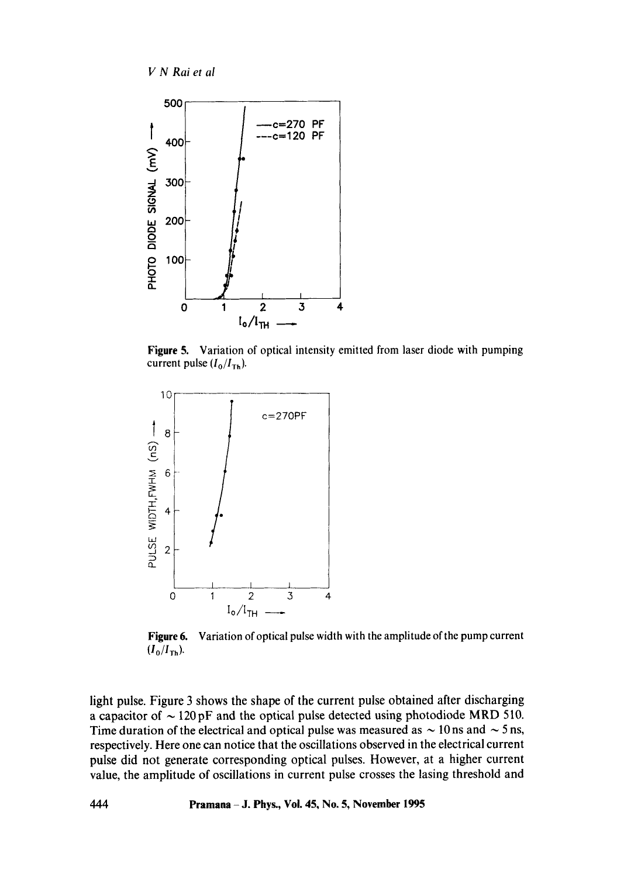



Figure 5. Variation of optical intensity emitted from laser diode with pumping current pulse  $(I_0/I_{\text{Th}})$ .



Figure 6. Variation of optical pulse width with the amplitude of the pump current  $(I_0/I_{\text{Th}})$ .

light pulse. Figure 3 shows the shape of the current pulse obtained after discharging a capacitor of  $\sim$  120 pF and the optical pulse detected using photodiode MRD 510. Time duration of the electrical and optical pulse was measured as  $\sim$  10 ns and  $\sim$  5 ns, respectively. Here one can notice that the oscillations observed in the electrical current pulse did not generate corresponding optical pulses. However, at a higher current value, the amplitude of oscillations in current pulse crosses the lasing threshold and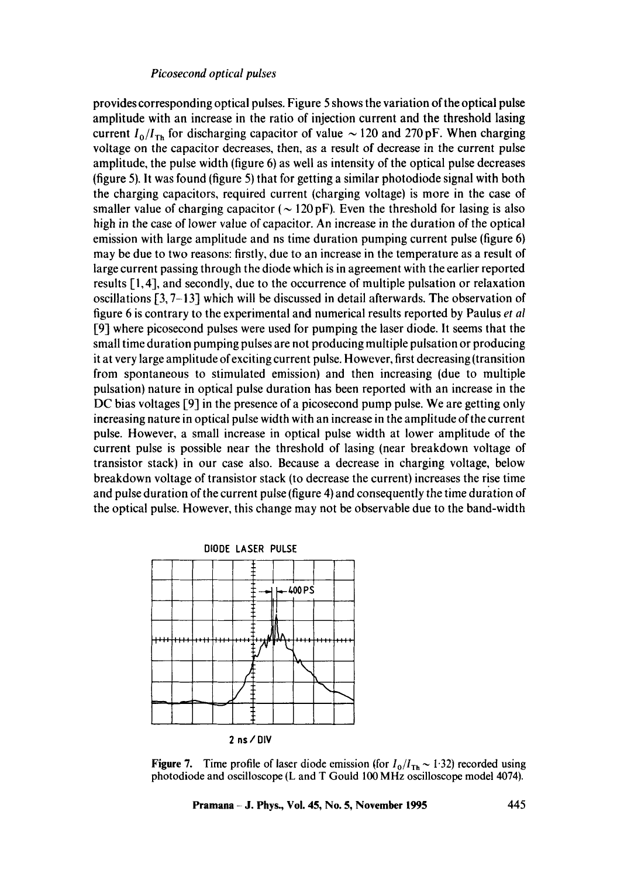provides corresponding optical pulses. Figure 5 shows the variation of the optical pulse amplitude with an increase in the ratio of injection current and the threshold lasing current  $I_0/I_{\text{Th}}$  for discharging capacitor of value  $\sim$  120 and 270 pF. When charging voltage on the capacitor decreases, then, as a result of decrease in the current pulse amplitude, the pulse width (figure 6) as well as intensity of the optical pulse decreases (figure 5). It was found (figure 5) that for getting a similar photodiode signal with both the charging capacitors, required current (charging voltage) is more in the case of smaller value of charging capacitor ( $\sim$  120 pF). Even the threshold for lasing is also high in the case of lower value of capacitor. An increase in the duration of the optical emission with large amplitude and ns time duration pumping current pulse (figure 6) may be due to two reasons: firstly, due to an increase in the temperature as a result of large current passing through the diode which is in agreement with the earlier reported results [1,4], and secondly, due to the occurrence of multiple pulsation or relaxation oscillations [3, 7-13] which will be discussed in detail afterwards. The observation of figure 6 is contrary to the experimental and numerical results reported by Paulus *et al*  [9] where picosecond pulses were used for pumping the laser diode. It seems that the small time duration pumping pulses are not producing multiple pulsation or producing it at very large amplitude of exciting current pulse. However, first decreasing (transition from spontaneous to stimulated emission) and then increasing (due to multiple pulsation) nature in optical pulse duration has been reported with an increase in the DC bias voltages [9] in the presence of a picosecond pump pulse. We are getting only increasing nature in optical pulse width with an increase in the amplitude of the current pulse. However, a small increase in optical pulse width at lower amplitude of the current pulse is possible near the threshold of lasing (near breakdown voltage of transistor stack) in our case also. Because a decrease in charging voltage, below breakdown voltage of transistor stack (to decrease the current) increases the rise time and pulse duration of the current pulse (figure 4) and consequently the time duration of the optical pulse. However, this change may not be observable due to the band-width



**Figure 7.** Time profile of laser diode emission (for  $I_0/I_{Th} \sim 1.32$ ) recorded using photodiode and oscilloscope (L and T Gould 100 MHz oscilloscope model 4074).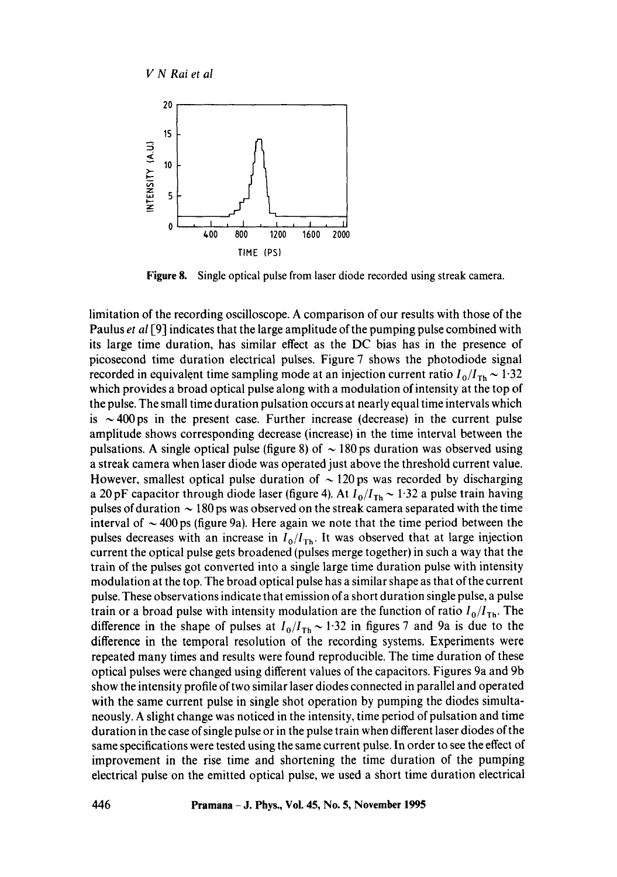

**Figure 8.**  Single optical pulse from laser diode recorded using streak camera.

limitation of the recording oscilloscope. A comparison of our results with those of the Paulus *et al* [9] indicates that the large amplitude of the pumping pulse combined with its large time duration, has similar effect as the DC bias has in the presence of picosecond time duration electrical pulses. Figure 7 shows the photodiode signal recorded in equivalent time sampling mode at an injection current ratio  $I_0/I_{Th} \sim 1.32$ which provides a broad optical pulse along with a modulation of intensity at the top of the pulse. The small time duration pulsation occurs at nearly equal time intervals which is  $\sim$  400 ps in the present case. Further increase (decrease) in the current pulse amplitude shows corresponding decrease (increase) in the time interval between the pulsations. A single optical pulse (figure 8) of  $\sim$  180 ps duration was observed using a streak camera when laser diode was operated just above the threshold current value. However, smallest optical pulse duration of  $\sim$  120 ps was recorded by discharging a 20 pF capacitor through diode laser (figure 4). At  $I_0/I_{Th} \sim 1.32$  a pulse train having pulses of duration  $\sim$  180 ps was observed on the streak camera separated with the time interval of  $\sim$  400 ps (figure 9a). Here again we note that the time period between the pulses decreases with an increase in  $I_0/I_{\text{Th}}$ . It was observed that at large injection current the optical pulse gets broadened (pulses merge together) in such a way that the train of the pulses got converted into a single large time duration pulse with intensity modulation at the top. The broad optical pulse has a similar shape as that of the current pulse. These observations indicate that emission of a short duration single pulse, a pulse train or a broad pulse with intensity modulation are the function of ratio  $I_0/I_{\text{Th}}$ . The difference in the shape of pulses at  $I_0/I_{Th} \sim 1.32$  in figures 7 and 9a is due to the difference in the temporal resolution of the recording systems. Experiments were repeated many times and results were found reproducible. The time duration of these optical pulses were changed using different values of the capacitors. Figures 9a and 9b show the intensity profile of two similar laser diodes connected in parallel and operated with the same current pulse in single shot operation by pumping the diodes simultaneously. A slight change was noticed in the intensity, time period of pulsation and time duration in the case of single pulse or in the pulse train when different laser diodes of the same specifications were tested using the same current pulse. In order to see the effect of improvement in the rise time and shortening the time duration of the pumping electrical pulse on the emitted optical pulse, we used a short time duration electrical

**446 Pramana - J. Phys., Vol. 45, No. 5, November 1995**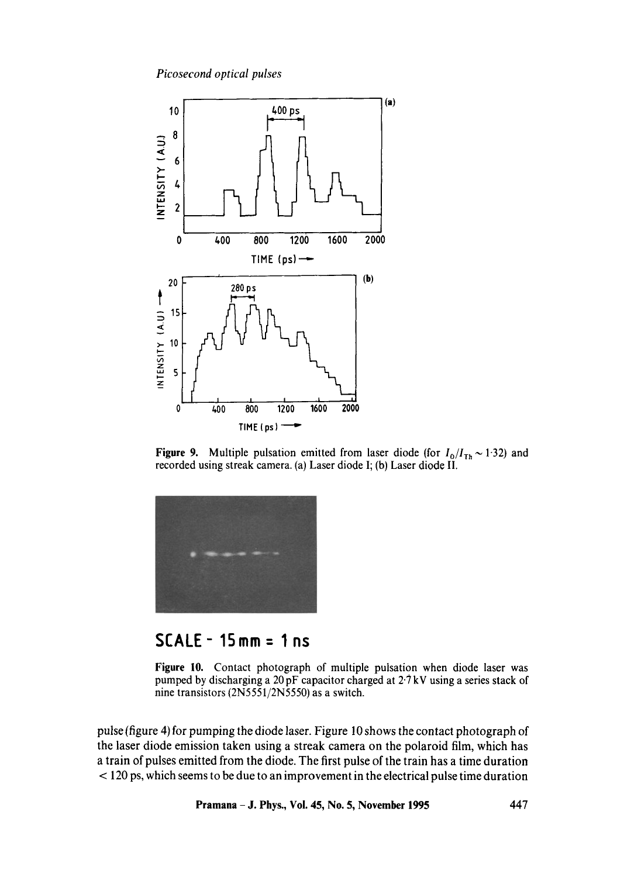

**Figure 9.** Multiple pulsation emitted from laser diode (for  $I_0/I_{Th} \sim 1.32$ ) and recorded using streak camera. (a) Laser diode I; (b) Laser diode II.



# **SCALE- 1Smm = 1 ns**

**Figure** 10. Contact photograph of multiple pulsation when diode laser was pumped by discharging a 20 pF capacitor charged at 2.7 kV using a series stack of nine transistors (2N5551/2N5550) as a switch.

pulse (figure 4) for pumping the diode laser. Figure 10 shows the contact photograph of the laser diode emission taken using a streak camera on the polaroid film, which has a train of pulses emitted from the diode. The first pulse of the train has a time duration < 120 ps, which seems to be due to an improvement in the electrical pulse time duration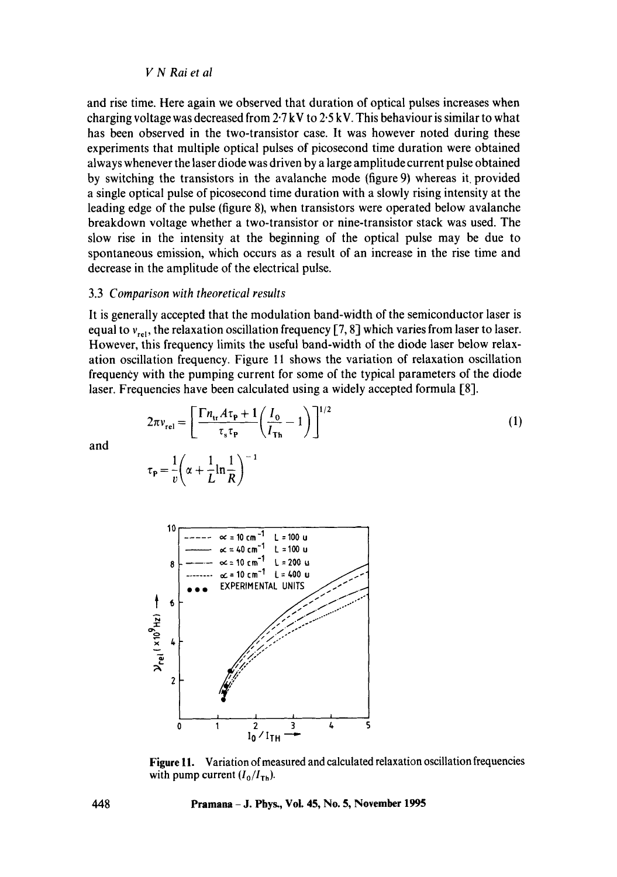and rise time. Here again we observed that duration of optical pulses increases when charging voltage was decreased from  $2.7 \text{ kV}$  to  $2.5 \text{ kV}$ . This behaviour is similar to what has been observed in the two-transistor case. It was however noted during these experiments that multiple optical pulses of picosecond time duration were obtained always whenever the laser diode was driven by a large amplitude current pulse obtained by switching the transistors in the avalanche mode (figure 9) whereas it. provided a single optical pulse of picosecond time duration with a slowly rising intensity at the leading edge of the pulse (figure 8), when transistors were operated below avalanche breakdown voltage whether a two-transistor or nine-transistor stack was used. The slow rise in the intensity at the beginning of the optical pulse may be due to spontaneous emission, which occurs as a result of an increase in the rise time and decrease in the amplitude of the electrical pulse.

### 3.3 *Comparison with theoretical results*

It is generally accepted that the modulation band-width of the semiconductor laser is equal to  $v_{rel}$ , the relaxation oscillation frequency [7, 8] which varies from laser to laser. However, this frequency limits the useful band-width of the diode laser below relaxation oscillation frequency. Figure 11 shows the variation of relaxation oscillation frequency with the pumping current for some of the typical parameters of the diode laser. Frequencies have been calculated using a widely accepted formula [8].

$$
2\pi v_{\text{rel}} = \left[\frac{\Gamma n_{\text{tr}} A \tau_{\text{p}} + 1}{\tau_{\text{s}} \tau_{\text{p}}} \left(\frac{I_0}{I_{\text{Th}}} - 1\right)\right]^{1/2}
$$
  

$$
\tau_{\text{p}} = \frac{1}{v} \left(\alpha + \frac{1}{L} \ln \frac{1}{R}\right)^{-1}
$$
 (1)

.o ,o°°

and

10  
\n
$$
\begin{array}{c|c}\n10 \\
\hline\n& \sim 10 \text{ cm}^{-1} & L = 100 \text{ u} \\
& \sim 240 \text{ cm}^{-1} & L = 100 \text{ u} \\
& \sim 240 \text{ cm}^{-1} & L = 200 \text{ u} \\
& \sim 210 \text{ cm}^{-1} & L = 400 \text{ u} \\
& \sim 210 \text{ cm}^{-1} & L = 400 \text{ u} \\
& \sim 210 \text{ cm}^{-1} & L = 400 \text{ u} \\
& \sim 210 \text{ cm} & L = 400 \text{ u} \\
& \sim 210 \text{ cm} & L = 400 \text{ u} \\
& \sim 210 \text{ cm} & L = 400 \text{ u} \\
& \sim 210 \text{ cm} & L = 400 \text{ u} \\
& \sim 210 \text{ cm} & L = 400 \text{ u} \\
& \sim 210 \text{ cm} & L = 400 \text{ u} \\
& \sim 210 \text{ cm} & L = 400 \text{ u} \\
& \sim 210 \text{ cm} & L = 400 \text{ u} \\
& \sim 210 \text{ cm} & L = 400 \text{ u} \\
& \sim 210 \text{ cm} & L = 400 \text{ u} \\
& \sim 210 \text{ cm} & L = 400 \text{ u} \\
& \sim 210 \text{ cm} & L = 400 \text{ u} \\
& \sim 210 \text{ cm} & L = 400 \text{ u} \\
& \sim 210 \text{ cm} & L = 400 \text{ u} \\
& \sim 210 \text{ cm} & L = 400 \text{ u} \\
& \sim 210 \text{ cm} & L = 400 \text{ u} \\
& \sim 210 \text{ cm} & L = 400 \text{ u} \\
& \sim 210 \text{ cm} & L = 400 \text{ u} \\
& \sim 210 \text{ cm} & L = 400 \text{ u} \\
& \sim 210 \text{ cm} & L = 400 \text{ u} \\
& \sim 210 \text{ cm} & L = 400 \text{ u} \\
& \sim 210 \text{ cm} & L = 400 \text{ u} \\
& \sim 210 \text{ cm} & L = 400 \text
$$

**Figure 11.** Variation of measured and calculated relaxation oscillation frequencies with pump current  $(I_0/I_{Th})$ .

**448 Pramana - J. Phys., Voi. 45, No. 5, November 1995** 

I I I I **0 I 2 3 4. 5**   $I_0/I$ TH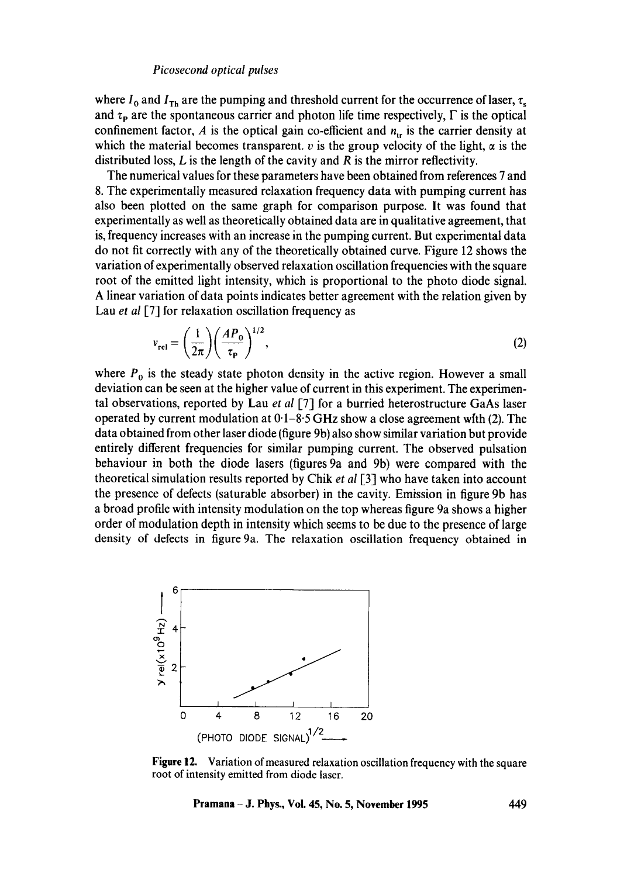where  $I_0$  and  $I_{Th}$  are the pumping and threshold current for the occurrence of laser,  $\tau_s$ and  $\tau_{\rm P}$  are the spontaneous carrier and photon life time respectively,  $\Gamma$  is the optical confinement factor, A is the optical gain co-efficient and  $n_{\text{tr}}$  is the carrier density at which the material becomes transparent,  $v$  is the group velocity of the light,  $\alpha$  is the distributed loss,  $L$  is the length of the cavity and  $R$  is the mirror reflectivity.

The numerical values for these parameters have been obtained from references 7 and 8. The experimentally measured relaxation frequency data with pumping current has also been plotted on the same graph for comparison purpose. It was found that experimentally as well as theoretically obtained data are in qualitative agreement, that is, frequency increases with an increase in the pumping current. But experimental data do not fit correctly with any of the theoretically obtained curve. Figure 12 shows the variation of experimentally observed relaxation oscillation frequencies with the square root of the emitted light intensity, which is proportional to the photo diode signal. A linear variation of data points indicates better agreement with the relation given by Lau *et al* [7] for relaxation oscillation frequency as

$$
v_{\rm rel} = \left(\frac{1}{2\pi}\right) \left(\frac{AP_0}{\tau_{\rm P}}\right)^{1/2},\tag{2}
$$

where  $P_0$  is the steady state photon density in the active region. However a small deviation can be seen at the higher value of current in this experiment. The experimental observations, reported by Lau *et al* [7] for a burried heterostructure GaAs laser operated by current modulation at  $0.1 - 8.5$  GHz show a close agreement with (2). The data obtained from other laser diode (figure 9b) also show similar variation but provide entirely different frequencies for similar pumping current. The observed pulsation behaviour in both the diode lasers (figures 9a and 9b) were compared with the theoretical simulation results reported by Chik *et al* [3] who have taken into account the presence of defects (saturable absorber) in the cavity. Emission in figure 9b has a broad profile with intensity modulation on the top whereas figure 9a shows a higher order of modulation depth in intensity which seems to be due to the presence of large density of defects in figure 9a. The relaxation oscillation frequency obtained in



**Figure 12.** Variation of measured relaxation oscillation frequency with the square root of intensity emitted from diode laser.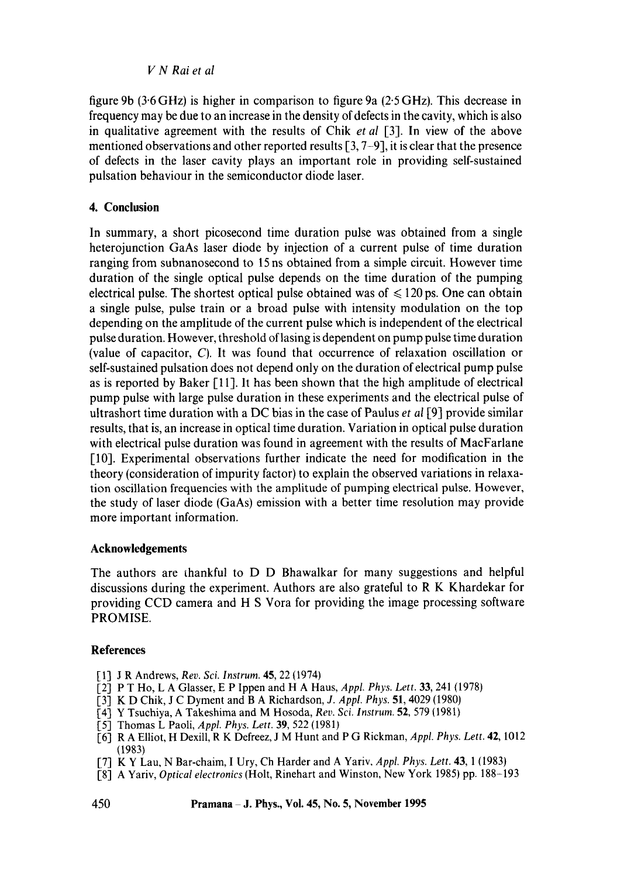figure 9b (3"6 GHz) is higher in comparison to figure 9a (2.5 GHz). This decrease in frequency may be due to an increase in the density of defects in the cavity, which is also in qualitative agreement with the results of Chik *et a!* [3]. In view of the above mentioned observations and other reported results [3, 7-9], it is clear that the presence of defects in the laser cavity plays an important role in providing self-sustained pulsation behaviour in the semiconductor diode laser.

## 4. **Conclusion**

In summary, a short picosecond time duration pulse was obtained from a single heterojunction GaAs laser diode by injection of a current pulse of time duration ranging from subnanosecond to 15 ns obtained from a simple circuit. However time duration of the single optical pulse depends on the time duration of the pumping electrical pulse. The shortest optical pulse obtained was of  $\leq 120$  ps. One can obtain a single pulse, pulse train or a broad pulse with intensity modulation on the top depending on the amplitude of the current pulse which is independent of the electrical pulse duration. However, threshold oflasing is dependent on pump pulse time duration (value of capacitor, C). It was found that occurrence of relaxation oscillation or self-sustained pulsation does not depend only on the duration of electrical pump pulse as is reported by Baker [11]. It has been shown that the high amplitude of electrical pump pulse with large pulse duration in these experiments and the electrical pulse of ultrashort time duration with a DC bias in the case of Paulus *et al* [9] provide similar results, that is, an increase in optical time duration. Variation in optical pulse duration with electrical pulse duration was found in agreement with the results of MacFarlane [10]. Experimental observations further indicate the need for modification in the theory (consideration of impurity factor) to explain the observed variations in relaxation oscillation frequencies with the amplitude of pumping electrical pulse. However, the study of laser diode (GaAs) emission with a better time resolution may provide more important information.

## **Acknowledgements**

The authors are thankful to D D Bhawalkar for many suggestions and helpful discussions during the experiment. Authors are also grateful to R K Khardekar for providing CCD camera and H S Vora for providing the image processing software PROMISE.

### **References**

- [1] J R Andrews, *Rev. Sci. Instrum.* 45, 22 (1974)
- [2] P T Ho, L A Glasser, E P Ippen and H A Haus, *Appl. Phys. Lett.* 33, 241 (19781
- [3] K D Chik, J C Dyment and B A Richardson, *J. Appl. Phys.* 51, 4029 (1980)
- [4] Y Tsuchiya, A Takeshima and M Hosoda, *Rev. Sci. Instrum.* 52, 579 (1981)
- [5] Thomas L Paoli, *Appl. Phys. Lett.* 39, 522 (1981)
- [6] R A Elliot, H Dexill, R K Defreez, J M Hunt and P G Rickman, *Appl. Phys. Lett.* 42, 1012 (1983)
- [7] K Y Lau, N Bar-chaim, I Ury, Ch Harder and A Yariv, *Appl. Phys. Lett.* 43, 1 (1983)
- [8] A Yariv, *Optical electronics* (Holt, Rinehart and Winston, New York 1985) pp. 188-193